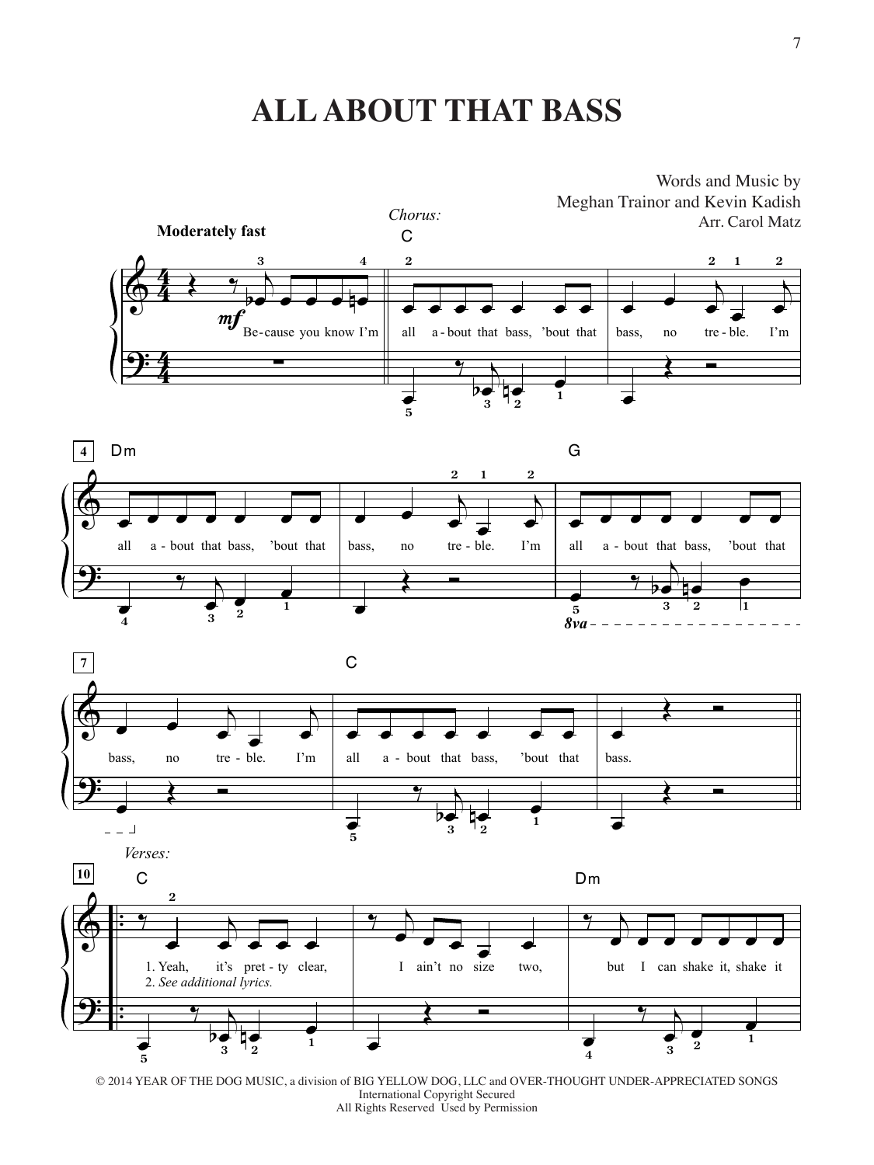## **ALL ABOUT THAT BASS**



© 2014 YEAR OF THE DOG MUSIC, a division of BIG YELLOW DOG, LLC and OVER-THOUGHT UNDER-APPRECIATED SONGS International Copyright Secured All Rights Reserved Used by Permission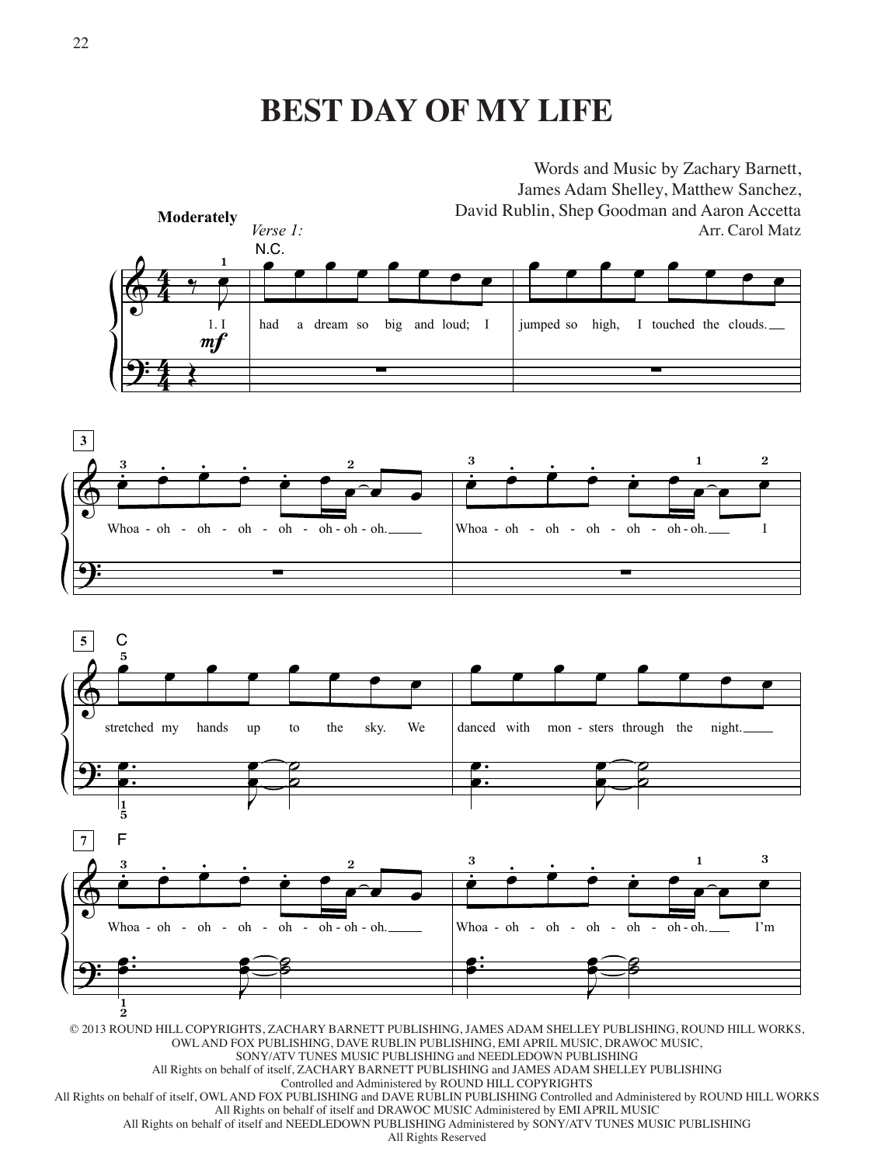## **BEST DAY OF MY LIFE**







All Rights on behalf of itself and NEEDLEDOWN PUBLISHING Administered by SONY/ATV TUNES MUSIC PUBLISHING

All Rights Reserved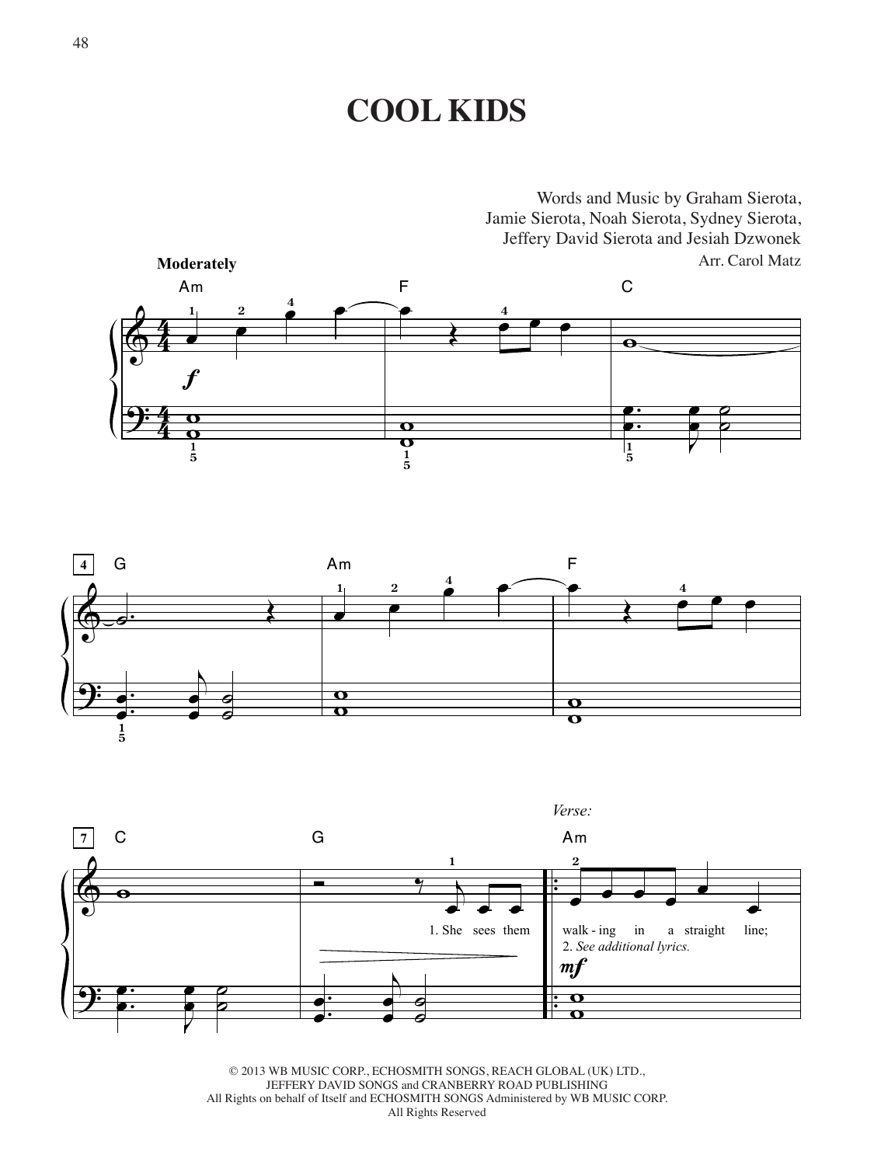## **COOL KIDS**





© 2013 WB MUSIC CORP., ECHOSMITH SONGS, REACH GLOBAL (UK) LTD., JEFFERY DAVID SONGS and CRANBERRY ROAD PUBLISHING All Rights on behalf of Itself and ECHOSMITH SONGS Administered by WB MUSIC CORP. All Rights Reserved